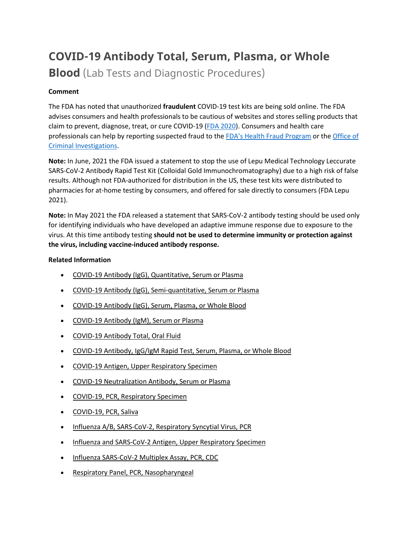# **COVID-19 Antibody Total, Serum, Plasma, or Whole**

**Blood** (Lab Tests and Diagnostic Procedures)

# **Comment**

The FDA has noted that unauthorized **fraudulent** COVID-19 test kits are being sold online. The FDA advises consumers and health professionals to be cautious of websites and stores selling products that claim to prevent, diagnose, treat, or cure COVID-19 [\(FDA 2020\)](https://www.fda.gov/consumers/consumer-updates/beware-fraudulent-coronavirus-tests-vaccines-and-treatments?utm_campaign=FDA%20MedWatch%20-%20Fraudulent%20Coronavirus%20Tests%2C%20Vaccines%20and%20Treatments&utm_medium=email&utm_source=Eloqua). Consumers and health care professionals can help by reporting suspected fraud to the [FDA's Health Fraud Program](https://www.fda.gov/safety/report-problem-fda/reporting-unlawful-sales-medical-products-internet) or the [Office of](https://www.accessdata.fda.gov/scripts/email/oc/oci/contact.cfm)  [Criminal Investigations.](https://www.accessdata.fda.gov/scripts/email/oc/oci/contact.cfm)

**Note:** In June, 2021 the FDA issued a statement to stop the use of Lepu Medical Technology Leccurate SARS-CoV-2 Antibody Rapid Test Kit (Colloidal Gold Immunochromatography) due to a high risk of false results. Although not FDA-authorized for distribution in the US, these test kits were distributed to pharmacies for at-home testing by consumers, and offered for sale directly to consumers (FDA Lepu 2021).

**Note:** In May 2021 the FDA released a statement that SARS-CoV-2 antibody testing should be used only for identifying individuals who have developed an adaptive immune response due to exposure to the virus. At this time antibody testing **should not be used to determine immunity or protection against the virus, including vaccine-induced antibody response.**

# **Related Information**

- [COVID-19 Antibody \(IgG\), Quantitative, Serum or Plasma](https://online.lexi.com/lco/action/doc/retrieve/docid/lthdph/7121093)
- [COVID-19 Antibody \(IgG\), Semi-quantitative, Serum or Plasma](https://online.lexi.com/lco/action/doc/retrieve/docid/lthdph/7077895)
- [COVID-19 Antibody \(IgG\), Serum, Plasma, or Whole Blood](https://online.lexi.com/lco/action/doc/retrieve/docid/lthdph/6940954)
- [COVID-19 Antibody \(IgM\), Serum or Plasma](https://online.lexi.com/lco/action/doc/retrieve/docid/lthdph/7150051)
- [COVID-19 Antibody Total, Oral Fluid](https://online.lexi.com/lco/action/doc/retrieve/docid/lthdph/7111648)
- [COVID-19 Antibody, IgG/IgM Rapid Test, Serum, Plasma, or Whole Blood](https://online.lexi.com/lco/action/doc/retrieve/docid/lthdph/6935326)
- [COVID-19 Antigen, Upper Respiratory Specimen](https://online.lexi.com/lco/action/doc/retrieve/docid/lthdph/6947693)
- [COVID-19 Neutralization Antibody, Serum or Plasma](https://online.lexi.com/lco/action/doc/retrieve/docid/lthdph/7011669)
- [COVID-19, PCR, Respiratory Specimen](https://online.lexi.com/lco/action/doc/retrieve/docid/lthdph/6920837)
- [COVID-19, PCR, Saliva](https://online.lexi.com/lco/action/doc/retrieve/docid/lthdph/6958856)
- [Influenza A/B, SARS-CoV-2, Respiratory Syncytial Virus, PCR](https://online.lexi.com/lco/action/doc/retrieve/docid/lthdph/7128794)
- [Influenza and SARS-CoV-2 Antigen, Upper Respiratory Specimen](https://online.lexi.com/lco/action/doc/retrieve/docid/lthdph/7063859)
- [Influenza SARS-CoV-2 Multiplex Assay, PCR, CDC](https://online.lexi.com/lco/action/doc/retrieve/docid/lthdph/6990707)
- [Respiratory Panel, PCR, Nasopharyngeal](https://online.lexi.com/lco/action/doc/retrieve/docid/lthdph/7106510)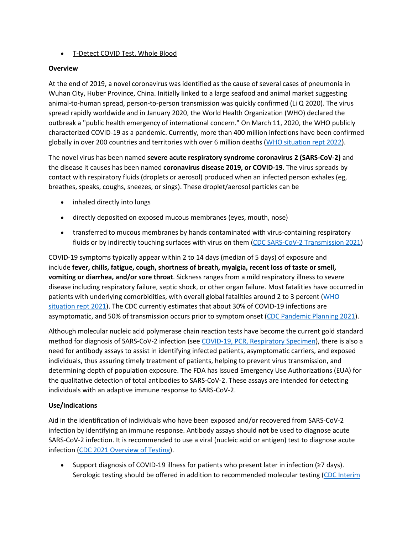## • [T-Detect COVID Test, Whole Blood](https://online.lexi.com/lco/action/doc/retrieve/docid/lthdph/7145964)

#### **Overview**

At the end of 2019, a novel coronavirus was identified as the cause of several cases of pneumonia in Wuhan City, Huber Province, China. Initially linked to a large seafood and animal market suggesting animal-to-human spread, person-to-person transmission was quickly confirmed (Li Q 2020). The virus spread rapidly worldwide and in January 2020, the World Health Organization (WHO) declared the outbreak a "public health emergency of international concern." On March 11, 2020, the WHO publicly characterized COVID-19 as a pandemic. Currently, more than 400 million infections have been confirmed globally in over 200 countries and territories with over 6 million deaths [\(WHO situation rept 2022\)](https://www.who.int/emergencies/diseases/novel-coronavirus-2019/situation-reports).

The novel virus has been named **severe acute respiratory syndrome coronavirus 2 (SARS-CoV-2)** and the disease it causes has been named **coronavirus disease 2019, or COVID-19**. The virus spreads by contact with respiratory fluids (droplets or aerosol) produced when an infected person exhales (eg, breathes, speaks, coughs, sneezes, or sings). These droplet/aerosol particles can be

- inhaled directly into lungs
- directly deposited on exposed mucous membranes (eyes, mouth, nose)
- transferred to mucous membranes by hands contaminated with virus-containing respiratory fluids or by indirectly touching surfaces with virus on them [\(CDC SARS-CoV-2 Transmission 2021\)](https://www.cdc.gov/coronavirus/2019-ncov/science/science-briefs/sars-cov-2-transmission.html)

COVID-19 symptoms typically appear within 2 to 14 days (median of 5 days) of exposure and include **fever, chills, fatigue, cough, shortness of breath, myalgia, recent loss of taste or smell, vomiting or diarrhea, and/or sore throat**. Sickness ranges from a mild respiratory illness to severe disease including respiratory failure, septic shock, or other organ failure. Most fatalities have occurred in patients with underlying comorbidities, with overall global fatalities around 2 to 3 percent [\(WHO](https://www.who.int/emergencies/diseases/novel-coronavirus-2019/situation-reports)  [situation rept 2021\)](https://www.who.int/emergencies/diseases/novel-coronavirus-2019/situation-reports). The CDC currently estimates that about 30% of COVID-19 infections are asymptomatic, and 50% of transmission occurs prior to symptom onset [\(CDC Pandemic Planning 2021\)](https://www.cdc.gov/coronavirus/2019-ncov/hcp/planning-scenarios.html).

Although molecular nucleic acid polymerase chain reaction tests have become the current gold standard method for diagnosis of SARS-CoV-2 infection (see [COVID-19, PCR, Respiratory Specimen\)](https://online.lexi.com/lco/action/search/globalid/869331), there is also a need for antibody assays to assist in identifying infected patients, asymptomatic carriers, and exposed individuals, thus assuring timely treatment of patients, helping to prevent virus transmission, and determining depth of population exposure. The FDA has issued Emergency Use Authorizations (EUA) for the qualitative detection of total antibodies to SARS-CoV-2. These assays are intended for detecting individuals with an adaptive immune response to SARS-CoV-2.

# **Use/Indications**

Aid in the identification of individuals who have been exposed and/or recovered from SARS-CoV-2 infection by identifying an immune response. Antibody assays should **not** be used to diagnose acute SARS-CoV-2 infection. It is recommended to use a viral (nucleic acid or antigen) test to diagnose acute infection [\(CDC 2021 Overview of Testing\)](https://www.cdc.gov/coronavirus/2019-ncov/hcp/testing-overview.html).

• Support diagnosis of COVID-19 illness for patients who present later in infection (≥7 days). Serologic testing should be offered in addition to recommended molecular testing (CDC Interim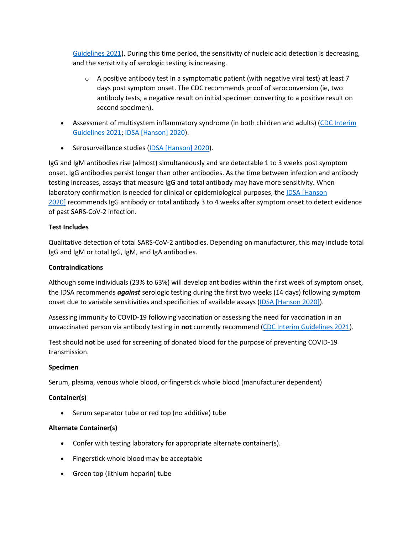[Guidelines 2021\)](https://www.cdc.gov/coronavirus/2019-ncov/hcp/testing-overview.html). During this time period, the sensitivity of nucleic acid detection is decreasing, and the sensitivity of serologic testing is increasing.

- $\circ$  A positive antibody test in a symptomatic patient (with negative viral test) at least 7 days post symptom onset. The CDC recommends proof of seroconversion (ie, two antibody tests, a negative result on initial specimen converting to a positive result on second specimen).
- Assessment of multisystem inflammatory syndrome (in both children and adults) [\(CDC Interim](https://www.cdc.gov/coronavirus/2019-ncov/lab/resources/antibody-tests-guidelines.html)  [Guidelines 2021;](https://www.cdc.gov/coronavirus/2019-ncov/lab/resources/antibody-tests-guidelines.html) [IDSA \[Hanson\] 2020\)](https://www.idsociety.org/practice-guideline/covid-19-guideline-serology/).
- Serosurveillance studies [\(IDSA \[Hanson\] 2020\)](https://www.idsociety.org/practice-guideline/covid-19-guideline-serology/).

IgG and IgM antibodies rise (almost) simultaneously and are detectable 1 to 3 weeks post symptom onset. IgG antibodies persist longer than other antibodies. As the time between infection and antibody testing increases, assays that measure IgG and total antibody may have more sensitivity. When laboratory confirmation is needed for clinical or epidemiological purposes, the [IDSA \[Hanson](https://www.idsociety.org/practice-guideline/covid-19-guideline-serology/)  [2020\]](https://www.idsociety.org/practice-guideline/covid-19-guideline-serology/) recommends IgG antibody or total antibody 3 to 4 weeks after symptom onset to detect evidence of past SARS-CoV-2 infection.

# **Test Includes**

Qualitative detection of total SARS-CoV-2 antibodies. Depending on manufacturer, this may include total IgG and IgM or total IgG, IgM, and IgA antibodies.

## **Contraindications**

Although some individuals (23% to 63%) will develop antibodies within the first week of symptom onset, the IDSA recommends *against* serologic testing during the first two weeks (14 days) following symptom onset due to variable sensitivities and specificities of available assays [\(IDSA \[Hanson 2020\]\)](https://www.idsociety.org/practice-guideline/covid-19-guideline-serology/).

Assessing immunity to COVID-19 following vaccination or assessing the need for vaccination in an unvaccinated person via antibody testing in **not** currently recommend [\(CDC Interim Guidelines 2021\)](https://www.cdc.gov/coronavirus/2019-ncov/lab/resources/antibody-tests-guidelines.html).

Test should **not** be used for screening of donated blood for the purpose of preventing COVID-19 transmission.

#### **Specimen**

Serum, plasma, venous whole blood, or fingerstick whole blood (manufacturer dependent)

# **Container(s)**

• Serum separator tube or red top (no additive) tube

#### **Alternate Container(s)**

- Confer with testing laboratory for appropriate alternate container(s).
- Fingerstick whole blood may be acceptable
- Green top (lithium heparin) tube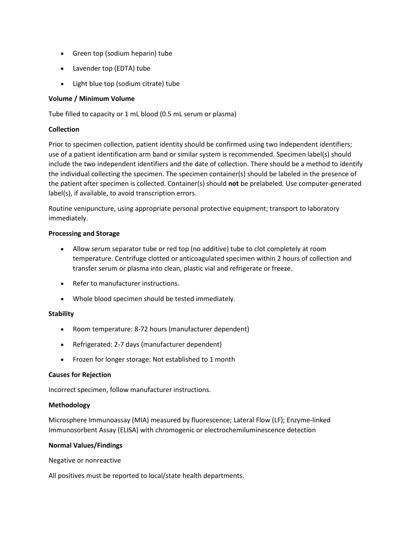- Green top (sodium heparin) tube
- Lavender top (EDTA) tube
- Light blue top (sodium citrate) tube

#### **Volume / Minimum Volume**

Tube filled to capacity or 1 mL blood (0.5 mL serum or plasma)

## **Collection**

Prior to specimen collection, patient identity should be confirmed using two independent identifiers; use of a patient identification arm band or similar system is recommended. Specimen label(s) should include the two independent identifiers and the date of collection. There should be a method to identify the individual collecting the specimen. The specimen container(s) should be labeled in the presence of the patient after specimen is collected. Container(s) should **not** be prelabeled. Use computer-generated label(s), if available, to avoid transcription errors.

Routine venipuncture, using appropriate personal protective equipment; transport to laboratory immediately.

#### **Processing and Storage**

- Allow serum separator tube or red top (no additive) tube to clot completely at room temperature. Centrifuge clotted or anticoagulated specimen within 2 hours of collection and transfer serum or plasma into clean, plastic vial and refrigerate or freeze.
- Refer to manufacturer instructions.
- Whole blood specimen should be tested immediately.

#### **Stability**

- Room temperature: 8-72 hours (manufacturer dependent)
- Refrigerated: 2-7 days (manufacturer dependent)
- Frozen for longer storage: Not established to 1 month

#### **Causes for Rejection**

Incorrect specimen, follow manufacturer instructions.

#### **Methodology**

Microsphere Immunoassay (MIA) measured by fluorescence; Lateral Flow (LF); Enzyme-linked Immunosorbent Assay (ELISA) with chromogenic or electrochemiluminescence detection

#### **Normal Values/Findings**

Negative or nonreactive

All positives must be reported to local/state health departments.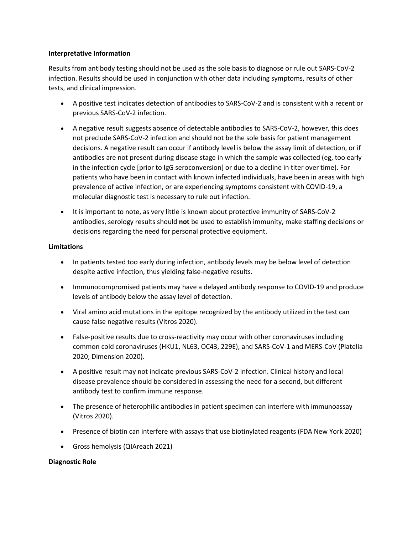#### **Interpretative Information**

Results from antibody testing should not be used as the sole basis to diagnose or rule out SARS-CoV-2 infection. Results should be used in conjunction with other data including symptoms, results of other tests, and clinical impression.

- A positive test indicates detection of antibodies to SARS-CoV-2 and is consistent with a recent or previous SARS-CoV-2 infection.
- A negative result suggests absence of detectable antibodies to SARS-CoV-2, however, this does not preclude SARS-CoV-2 infection and should not be the sole basis for patient management decisions. A negative result can occur if antibody level is below the assay limit of detection, or if antibodies are not present during disease stage in which the sample was collected (eg, too early in the infection cycle [prior to IgG seroconversion] or due to a decline in titer over time). For patients who have been in contact with known infected individuals, have been in areas with high prevalence of active infection, or are experiencing symptoms consistent with COVID-19, a molecular diagnostic test is necessary to rule out infection.
- It is important to note, as very little is known about protective immunity of SARS-CoV-2 antibodies, serology results should **not** be used to establish immunity, make staffing decisions or decisions regarding the need for personal protective equipment.

#### **Limitations**

- In patients tested too early during infection, antibody levels may be below level of detection despite active infection, thus yielding false-negative results.
- Immunocompromised patients may have a delayed antibody response to COVID-19 and produce levels of antibody below the assay level of detection.
- Viral amino acid mutations in the epitope recognized by the antibody utilized in the test can cause false negative results (Vitros 2020).
- False-positive results due to cross-reactivity may occur with other coronaviruses including common cold coronaviruses (HKU1, NL63, OC43, 229E), and SARS-CoV-1 and MERS-CoV (Platelia 2020; Dimension 2020).
- A positive result may not indicate previous SARS-CoV-2 infection. Clinical history and local disease prevalence should be considered in assessing the need for a second, but different antibody test to confirm immune response.
- The presence of heterophilic antibodies in patient specimen can interfere with immunoassay (Vitros 2020).
- Presence of biotin can interfere with assays that use biotinylated reagents (FDA New York 2020)
- Gross hemolysis (QIAreach 2021)

#### **Diagnostic Role**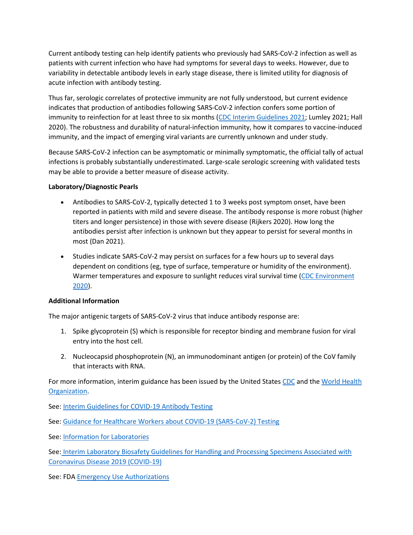Current antibody testing can help identify patients who previously had SARS-CoV-2 infection as well as patients with current infection who have had symptoms for several days to weeks. However, due to variability in detectable antibody levels in early stage disease, there is limited utility for diagnosis of acute infection with antibody testing.

Thus far, serologic correlates of protective immunity are not fully understood, but current evidence indicates that production of antibodies following SARS-CoV-2 infection confers some portion of immunity to reinfection for at least three to six months [\(CDC Interim Guidelines 2021;](https://www.cdc.gov/coronavirus/2019-ncov/lab/resources/antibody-tests-guidelines.html) Lumley 2021; Hall 2020). The robustness and durability of natural-infection immunity, how it compares to vaccine-induced immunity, and the impact of emerging viral variants are currently unknown and under study.

Because SARS-CoV-2 infection can be asymptomatic or minimally symptomatic, the official tally of actual infections is probably substantially underestimated. Large-scale serologic screening with validated tests may be able to provide a better measure of disease activity.

## **Laboratory/Diagnostic Pearls**

- Antibodies to SARS-CoV-2, typically detected 1 to 3 weeks post symptom onset, have been reported in patients with mild and severe disease. The antibody response is more robust (higher titers and longer persistence) in those with severe disease (Rijkers 2020). How long the antibodies persist after infection is unknown but they appear to persist for several months in most (Dan 2021).
- Studies indicate SARS-CoV-2 may persist on surfaces for a few hours up to several days dependent on conditions (eg, type of surface, temperature or humidity of the environment). Warmer temperatures and exposure to sunlight reduces viral survival time [\(CDC Environment](https://www.cdc.gov/coronavirus/2019-ncov/community/pdf/reopening_america_guidance.pdf)  [2020\)](https://www.cdc.gov/coronavirus/2019-ncov/community/pdf/reopening_america_guidance.pdf).

#### **Additional Information**

The major antigenic targets of SARS-CoV-2 virus that induce antibody response are:

- 1. Spike glycoprotein (S) which is responsible for receptor binding and membrane fusion for viral entry into the host cell.
- 2. Nucleocapsid phosphoprotein (N), an immunodominant antigen (or protein) of the CoV family that interacts with RNA.

For more information, interim guidance has been issued by the United States [CDC](https://www.cdc.gov/coronavirus/2019-ncov/index.html) and the World Health [Organization.](https://www.who.int/emergencies/diseases/novel-coronavirus-2019)

See: [Interim Guidelines for COVID-19 Antibody Testing](https://www.cdc.gov/coronavirus/2019-ncov/lab/resources/antibody-tests-guidelines.html)

See: [Guidance for Healthcare Workers about COVID-19 \(SARS-CoV-2\) Testing](https://www.cdc.gov/coronavirus/2019-ncov/hcp/testing.html)

See: [Information for Laboratories](https://www.cdc.gov/coronavirus/2019-ncov/lab/index.html?CDC_AA_refVal=https%3A%2F%2Fwww.cdc.gov%2Fcoronavirus%2F2019-ncov%2Fguidance-laboratories.html)

See: [Interim Laboratory Biosafety Guidelines for Handling and Processing Specimens Associated with](https://www.cdc.gov/coronavirus/2019-ncov/lab/lab-biosafety-guidelines.html?CDC_AA_refVal=https%3A%2F%2Fwww.cdc.gov%2Fcoronavirus%2F2019-ncov%2Flab-biosafety-guidelines.html)  [Coronavirus Disease 2019 \(COVID-19\)](https://www.cdc.gov/coronavirus/2019-ncov/lab/lab-biosafety-guidelines.html?CDC_AA_refVal=https%3A%2F%2Fwww.cdc.gov%2Fcoronavirus%2F2019-ncov%2Flab-biosafety-guidelines.html)

See: FDA [Emergency Use Authorizations](https://www.fda.gov/emergency-preparedness-and-response/mcm-legal-regulatory-and-policy-framework/emergency-use-authorization)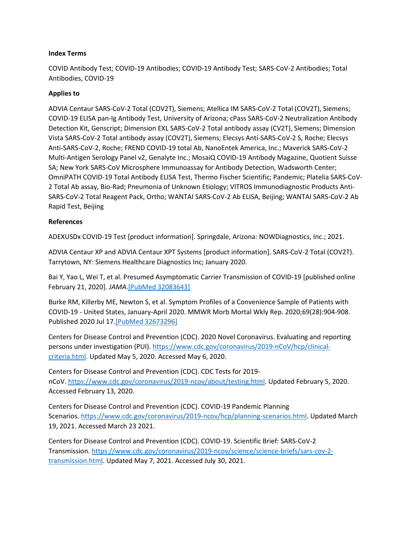#### **Index Terms**

COVID Antibody Test; COVID-19 Antibodies; COVID-19 Antibody Test; SARS-CoV-2 Antibodies; Total Antibodies, COVID-19

#### **Applies to**

ADVIA Centaur SARS-CoV-2 Total (COV2T), Siemens; Atellica IM SARS-CoV-2 Total (COV2T), Siemens; COVID-19 ELISA pan-Ig Antibody Test, University of Arizona; cPass SARS-CoV-2 Neutralization Antibody Detection Kit, Genscript; Dimension EXL SARS-CoV-2 Total antibody assay (CV2T), Siemens; Dimension Vista SARS-CoV-2 Total antibody assay (COV2T), Siemens; Elecsys Anti-SARS-CoV-2 S, Roche; Elecsys Anti-SARS-CoV-2, Roche; FREND COVID-19 total Ab, NanoEntek America, Inc.; Maverick SARS-CoV-2 Multi-Antigen Serology Panel v2, Genalyte Inc.; MosaiQ COVID-19 Antibody Magazine, Quotient Suisse SA; New York SARS-CoV Microsphere Immunoassay for Antibody Detection, Wadsworth Center; OmniPATH COVID-19 Total Antibody ELISA Test, Thermo Fischer Scientific; Pandemic; Platelia SARS-CoV-2 Total Ab assay, Bio-Rad; Pneumonia of Unknown Etiology; VITROS Immunodiagnostic Products Anti-SARS-CoV-2 Total Reagent Pack, Ortho; WANTAI SARS-CoV-2 Ab ELISA, Beijing; WANTAI SARS-CoV-2 Ab Rapid Test, Beijing

#### **References**

ADEXUSDx COVID-19 Test [product information]. Springdale, Arizona: NOWDiagnostics, Inc.; 2021.

ADVIA Centaur XP and ADVIA Centaur XPT Systems [product information]. SARS-CoV-2 Total (COV2T). Tarrytown, NY: Siemens Healthcare Diagnostics Inc; January 2020.

Bai Y, Yao L, Wei T, et al. Presumed Asymptomatic Carrier Transmission of COVID-19 [published online February 21, 2020]. *JAMA*[.\[PubMed 32083643\]](https://www.ncbi.nlm.nih.gov/entrez/query.fcgi?cmd=Retrieve&db=pubmed&dopt=Abstract&list_uids=32083643)

Burke RM, Killerby ME, Newton S, et al. Symptom Profiles of a Convenience Sample of Patients with COVID-19 - United States, January-April 2020. MMWR Morb Mortal Wkly Rep. 2020;69(28):904-908. Published 2020 Jul 17[.\[PubMed 32673296\]](https://www.ncbi.nlm.nih.gov/entrez/query.fcgi?cmd=Retrieve&db=pubmed&dopt=Abstract&list_uids=32673296)

Centers for Disease Control and Prevention (CDC). 2020 Novel Coronavirus. Evaluating and reporting persons under investigation (PUI). [https://www.cdc.gov/coronavirus/2019-nCoV/hcp/clinical](https://www.cdc.gov/coronavirus/2019-nCoV/hcp/clinical-criteria.html)[criteria.html.](https://www.cdc.gov/coronavirus/2019-nCoV/hcp/clinical-criteria.html) Updated May 5, 2020. Accessed May 6, 2020.

Centers for Disease Control and Prevention (CDC). CDC Tests for 2019 nCoV. [https://www.cdc.gov/coronavirus/2019-ncov/about/testing.html.](https://www.cdc.gov/coronavirus/2019-ncov/about/testing.html) Updated February 5, 2020. Accessed February 13, 2020.

Centers for Disease Control and Prevention (CDC). COVID-19 Pandemic Planning Scenarios. [https://www.cdc.gov/coronavirus/2019-ncov/hcp/planning-scenarios.html.](https://www.cdc.gov/coronavirus/2019-ncov/hcp/planning-scenarios.html) Updated March 19, 2021. Accessed March 23 2021.

Centers for Disease Control and Prevention (CDC). COVID-19. Scientific Brief: SARS-CoV-2 Transmission. [https://www.cdc.gov/coronavirus/2019-ncov/science/science-briefs/sars-cov-2](https://www.cdc.gov/coronavirus/2019-ncov/science/science-briefs/sars-cov-2-transmission.html) [transmission.html](https://www.cdc.gov/coronavirus/2019-ncov/science/science-briefs/sars-cov-2-transmission.html). Updated May 7, 2021. Accessed July 30, 2021.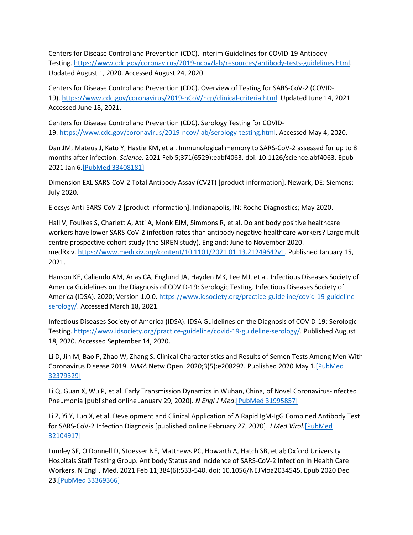Centers for Disease Control and Prevention (CDC). Interim Guidelines for COVID-19 Antibody Testing. [https://www.cdc.gov/coronavirus/2019-ncov/lab/resources/antibody-tests-guidelines.html.](https://www.cdc.gov/coronavirus/2019-ncov/lab/resources/antibody-tests-guidelines.html) Updated August 1, 2020. Accessed August 24, 2020.

Centers for Disease Control and Prevention (CDC). Overview of Testing for SARS-CoV-2 (COVID-19). [https://www.cdc.gov/coronavirus/2019-nCoV/hcp/clinical-criteria.html.](https://www.cdc.gov/coronavirus/2019-ncov/hcp/testing-overview.html) Updated June 14, 2021. Accessed June 18, 2021.

Centers for Disease Control and Prevention (CDC). Serology Testing for COVID-19. [https://www.cdc.gov/coronavirus/2019-ncov/lab/serology-testing.html.](https://www.cdc.gov/coronavirus/2019-ncov/lab/serology-testing.html) Accessed May 4, 2020.

Dan JM, Mateus J, Kato Y, Hastie KM, et al. Immunological memory to SARS-CoV-2 assessed for up to 8 months after infection. *Science*. 2021 Feb 5;371(6529):eabf4063. doi: 10.1126/science.abf4063. Epub 2021 Jan 6[.\[PubMed 33408181\]](https://www.ncbi.nlm.nih.gov/entrez/query.fcgi?cmd=Retrieve&db=pubmed&dopt=Abstract&list_uids=33408181)

Dimension EXL SARS-CoV-2 Total Antibody Assay (CV2T) [product information]. Newark, DE: Siemens; July 2020.

Elecsys Anti-SARS-CoV-2 [product information]. Indianapolis, IN: Roche Diagnostics; May 2020.

Hall V, Foulkes S, Charlett A, Atti A, Monk EJM, Simmons R, et al. Do antibody positive healthcare workers have lower SARS-CoV-2 infection rates than antibody negative healthcare workers? Large multicentre prospective cohort study (the SIREN study), England: June to November 2020. medRxiv. [https://www.medrxiv.org/content/10.1101/2021.01.13.21249642v1.](https://www.medrxiv.org/content/10.1101/2021.01.13.21249642v1) Published January 15, 2021.

Hanson KE, Caliendo AM, Arias CA, Englund JA, Hayden MK, Lee MJ, et al. Infectious Diseases Society of America Guidelines on the Diagnosis of COVID-19: Serologic Testing. Infectious Diseases Society of America (IDSA). 2020; Version 1.0.0. [https://www.idsociety.org/practice-guideline/covid-19-guideline](https://www.idsociety.org/practice-guideline/covid-19-guideline-serology/)[serology/.](https://www.idsociety.org/practice-guideline/covid-19-guideline-serology/) Accessed March 18, 2021.

Infectious Diseases Society of America (IDSA). IDSA Guidelines on the Diagnosis of COVID-19: Serologic Testing. [https://www.idsociety.org/practice-guideline/covid-19-guideline-serology/.](https://www.idsociety.org/practice-guideline/covid-19-guideline-serology/) Published August 18, 2020. Accessed September 14, 2020.

Li D, Jin M, Bao P, Zhao W, Zhang S. Clinical Characteristics and Results of Semen Tests Among Men With Coronavirus Disease 2019. *JAMA* Netw Open. 2020;3(5):e208292. Published 2020 May 1[.\[PubMed](https://www.ncbi.nlm.nih.gov/entrez/query.fcgi?cmd=Retrieve&db=pubmed&dopt=Abstract&list_uids=32379329)  [32379329\]](https://www.ncbi.nlm.nih.gov/entrez/query.fcgi?cmd=Retrieve&db=pubmed&dopt=Abstract&list_uids=32379329)

Li Q, Guan X, Wu P, et al. Early Transmission Dynamics in Wuhan, China, of Novel Coronavirus-Infected Pneumonia [published online January 29, 2020]. *N Engl J Med*.[\[PubMed 31995857\]](https://www.ncbi.nlm.nih.gov/entrez/query.fcgi?cmd=Retrieve&db=pubmed&dopt=Abstract&list_uids=31995857)

Li Z, Yi Y, Luo X, et al. Development and Clinical Application of A Rapid IgM-IgG Combined Antibody Test for SARS-CoV-2 Infection Diagnosis [published online February 27, 2020]. *J Med Virol*[.\[PubMed](https://www.ncbi.nlm.nih.gov/entrez/query.fcgi?cmd=Retrieve&db=pubmed&dopt=Abstract&list_uids=32104917)  [32104917\]](https://www.ncbi.nlm.nih.gov/entrez/query.fcgi?cmd=Retrieve&db=pubmed&dopt=Abstract&list_uids=32104917)

Lumley SF, O'Donnell D, Stoesser NE, Matthews PC, Howarth A, Hatch SB, et al; Oxford University Hospitals Staff Testing Group. Antibody Status and Incidence of SARS-CoV-2 Infection in Health Care Workers. N Engl J Med. 2021 Feb 11;384(6):533-540. doi: 10.1056/NEJMoa2034545. Epub 2020 Dec 23[.\[PubMed 33369366\]](https://www.ncbi.nlm.nih.gov/entrez/query.fcgi?cmd=Retrieve&db=pubmed&dopt=Abstract&list_uids=33369366)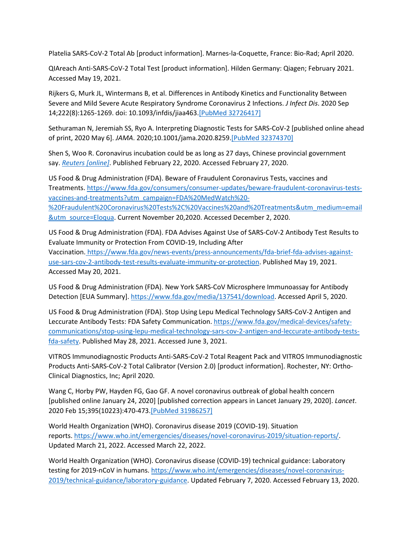Platelia SARS-CoV-2 Total Ab [product information]. Marnes-la-Coquette, France: Bio-Rad; April 2020.

QIAreach Anti-SARS-CoV-2 Total Test [product information]. Hilden Germany: Qiagen; February 2021. Accessed May 19, 2021.

Rijkers G, Murk JL, Wintermans B, et al. Differences in Antibody Kinetics and Functionality Between Severe and Mild Severe Acute Respiratory Syndrome Coronavirus 2 Infections. *J Infect Dis*. 2020 Sep 14;222(8):1265-1269. doi: 10.1093/infdis/jiaa463.[\[PubMed 32726417\]](https://www.ncbi.nlm.nih.gov/entrez/query.fcgi?cmd=Retrieve&db=pubmed&dopt=Abstract&list_uids=32726417)

Sethuraman N, Jeremiah SS, Ryo A. Interpreting Diagnostic Tests for SARS-CoV-2 [published online ahead of print, 2020 May 6]. *JAMA*. 2020;10.1001/jama.2020.8259.[\[PubMed 32374370\]](https://www.ncbi.nlm.nih.gov/entrez/query.fcgi?cmd=Retrieve&db=pubmed&dopt=Abstract&list_uids=32374370)

Shen S, Woo R. Coronavirus incubation could be as long as 27 days, Chinese provincial government say. *Reuters [\[online\]](https://www.reuters.com/article/us-china-health-incubation/coronavirus-incubation-could-be-as-long-as-27-days-chinese-provincial-government-says-idUSKCN20G06W)*. Published February 22, 2020. Accessed February 27, 2020.

US Food & Drug Administration (FDA). Beware of Fraudulent Coronavirus Tests, vaccines and Treatments. [https://www.fda.gov/consumers/consumer-updates/beware-fraudulent-coronavirus-tests](https://www.fda.gov/consumers/consumer-updates/beware-fraudulent-coronavirus-tests-vaccines-and-treatments?utm_campaign=FDA%20MedWatch%20-%20Fraudulent%20Coronavirus%20Tests%2C%20Vaccines%20and%20Treatments&utm_medium=email&utm_source=Eloqua)[vaccines-and-treatments?utm\\_campaign=FDA%20MedWatch%20-](https://www.fda.gov/consumers/consumer-updates/beware-fraudulent-coronavirus-tests-vaccines-and-treatments?utm_campaign=FDA%20MedWatch%20-%20Fraudulent%20Coronavirus%20Tests%2C%20Vaccines%20and%20Treatments&utm_medium=email&utm_source=Eloqua) [%20Fraudulent%20Coronavirus%20Tests%2C%20Vaccines%20and%20Treatments&utm\\_medium=email](https://www.fda.gov/consumers/consumer-updates/beware-fraudulent-coronavirus-tests-vaccines-and-treatments?utm_campaign=FDA%20MedWatch%20-%20Fraudulent%20Coronavirus%20Tests%2C%20Vaccines%20and%20Treatments&utm_medium=email&utm_source=Eloqua) [&utm\\_source=Eloqua.](https://www.fda.gov/consumers/consumer-updates/beware-fraudulent-coronavirus-tests-vaccines-and-treatments?utm_campaign=FDA%20MedWatch%20-%20Fraudulent%20Coronavirus%20Tests%2C%20Vaccines%20and%20Treatments&utm_medium=email&utm_source=Eloqua) Current November 20,2020. Accessed December 2, 2020.

US Food & Drug Administration (FDA). FDA Advises Against Use of SARS-CoV-2 Antibody Test Results to Evaluate Immunity or Protection From COVID-19, Including After Vaccination. [https://www.fda.gov/news-events/press-announcements/fda-brief-fda-advises-against](https://www.fda.gov/news-events/press-announcements/fda-brief-fda-advises-against-use-sars-cov-2-antibody-test-results-evaluate-immunity-or-protection)[use-sars-cov-2-antibody-test-results-evaluate-immunity-or-protection.](https://www.fda.gov/news-events/press-announcements/fda-brief-fda-advises-against-use-sars-cov-2-antibody-test-results-evaluate-immunity-or-protection) Published May 19, 2021. Accessed May 20, 2021.

US Food & Drug Administration (FDA). New York SARS-CoV Microsphere Immunoassay for Antibody Detection [EUA Summary]. <https://www.fda.gov/media/137541/download>. Accessed April 5, 2020.

US Food & Drug Administration (FDA). Stop Using Lepu Medical Technology SARS-CoV-2 Antigen and Leccurate Antibody Tests: FDA Safety Communication. [https://www.fda.gov/medical-devices/safety](https://www.fda.gov/medical-devices/safety-communications/stop-using-lepu-medical-technology-sars-cov-2-antigen-and-leccurate-antibody-tests-fda-safety)[communications/stop-using-lepu-medical-technology-sars-cov-2-antigen-and-leccurate-antibody-tests](https://www.fda.gov/medical-devices/safety-communications/stop-using-lepu-medical-technology-sars-cov-2-antigen-and-leccurate-antibody-tests-fda-safety)[fda-safety.](https://www.fda.gov/medical-devices/safety-communications/stop-using-lepu-medical-technology-sars-cov-2-antigen-and-leccurate-antibody-tests-fda-safety) Published May 28, 2021. Accessed June 3, 2021.

VITROS Immunodiagnostic Products Anti-SARS-CoV-2 Total Reagent Pack and VITROS Immunodiagnostic Products Anti-SARS-CoV-2 Total Calibrator (Version 2.0) [product information]. Rochester, NY: Ortho-Clinical Diagnostics, Inc; April 2020.

Wang C, Horby PW, Hayden FG, Gao GF. A novel coronavirus outbreak of global health concern [published online January 24, 2020] [published correction appears in Lancet January 29, 2020]. *Lancet*. 2020 Feb 15;395(10223):470-473[.\[PubMed 31986257\]](https://www.ncbi.nlm.nih.gov/entrez/query.fcgi?cmd=Retrieve&db=pubmed&dopt=Abstract&list_uids=31986257)

World Health Organization (WHO). Coronavirus disease 2019 (COVID-19). Situation reports. [https://www.who.int/emergencies/diseases/novel-coronavirus-2019/situation-reports/.](https://www.who.int/emergencies/diseases/novel-coronavirus-2019/situation-reports/) Updated March 21, 2022. Accessed March 22, 2022.

World Health Organization (WHO). Coronavirus disease (COVID-19) technical guidance: Laboratory testing for 2019-nCoV in humans. [https://www.who.int/emergencies/diseases/novel-coronavirus-](https://www.who.int/emergencies/diseases/novel-coronavirus-2019/technical-guidance/laboratory-guidance)[2019/technical-guidance/laboratory-guidance](https://www.who.int/emergencies/diseases/novel-coronavirus-2019/technical-guidance/laboratory-guidance). Updated February 7, 2020. Accessed February 13, 2020.